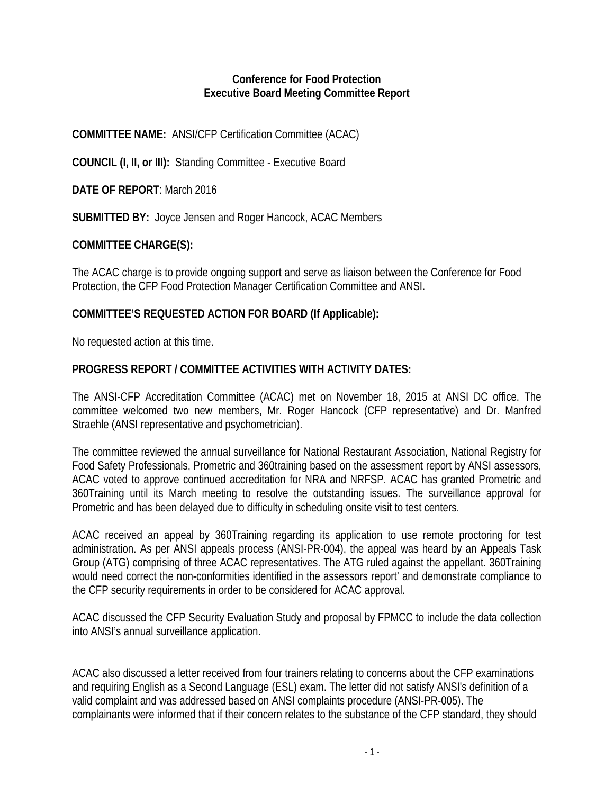### **Conference for Food Protection Executive Board Meeting Committee Report**

### **COMMITTEE NAME:** ANSI/CFP Certification Committee (ACAC)

**COUNCIL (I, II, or III):** Standing Committee - Executive Board

**DATE OF REPORT**: March 2016

**SUBMITTED BY:** Joyce Jensen and Roger Hancock, ACAC Members

# **COMMITTEE CHARGE(S):**

The ACAC charge is to provide ongoing support and serve as liaison between the Conference for Food Protection, the CFP Food Protection Manager Certification Committee and ANSI.

# **COMMITTEE'S REQUESTED ACTION FOR BOARD (If Applicable):**

No requested action at this time.

# **PROGRESS REPORT / COMMITTEE ACTIVITIES WITH ACTIVITY DATES:**

The ANSI-CFP Accreditation Committee (ACAC) met on November 18, 2015 at ANSI DC office. The committee welcomed two new members, Mr. Roger Hancock (CFP representative) and Dr. Manfred Straehle (ANSI representative and psychometrician).

The committee reviewed the annual surveillance for National Restaurant Association, National Registry for Food Safety Professionals, Prometric and 360training based on the assessment report by ANSI assessors, ACAC voted to approve continued accreditation for NRA and NRFSP. ACAC has granted Prometric and 360Training until its March meeting to resolve the outstanding issues. The surveillance approval for Prometric and has been delayed due to difficulty in scheduling onsite visit to test centers.

ACAC received an appeal by 360Training regarding its application to use remote proctoring for test administration. As per ANSI appeals process (ANSI-PR-004), the appeal was heard by an Appeals Task Group (ATG) comprising of three ACAC representatives. The ATG ruled against the appellant. 360Training would need correct the non-conformities identified in the assessors report' and demonstrate compliance to the CFP security requirements in order to be considered for ACAC approval.

ACAC discussed the CFP Security Evaluation Study and proposal by FPMCC to include the data collection into ANSI's annual surveillance application.

ACAC also discussed a letter received from four trainers relating to concerns about the CFP examinations and requiring English as a Second Language (ESL) exam. The letter did not satisfy ANSI's definition of a valid complaint and was addressed based on ANSI complaints procedure (ANSI-PR-005). The complainants were informed that if their concern relates to the substance of the CFP standard, they should